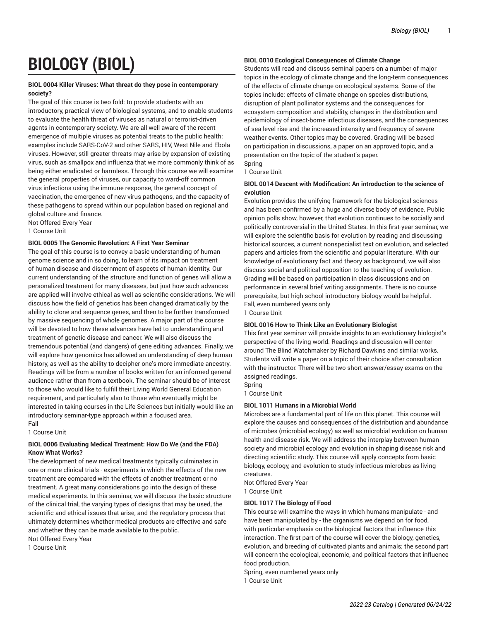# **BIOLOGY (BIOL)**

# **BIOL 0004 Killer Viruses: What threat do they pose in contemporary society?**

The goal of this course is two fold: to provide students with an introductory, practical view of biological systems, and to enable students to evaluate the health threat of viruses as natural or terrorist-driven agents in contemporary society. We are all well aware of the recent emergence of multiple viruses as potential treats to the public health: examples include SARS-CoV-2 and other SARS, HIV, West Nile and Ebola viruses. However, still greater threats may arise by expansion of existing virus, such as smallpox and influenza that we more commonly think of as being either eradicated or harmless. Through this course we will examine the general properties of viruses, our capacity to ward-off common virus infections using the immune response, the general concept of vaccination, the emergence of new virus pathogens, and the capacity of these pathogens to spread within our population based on regional and global culture and finance.

Not Offered Every Year

1 Course Unit

# **BIOL 0005 The Genomic Revolution: A First Year Seminar**

The goal of this course is to convey a basic understanding of human genome science and in so doing, to learn of its impact on treatment of human disease and discernment of aspects of human identity. Our current understanding of the structure and function of genes will allow a personalized treatment for many diseases, but just how such advances are applied will involve ethical as well as scientific considerations. We will discuss how the field of genetics has been changed dramatically by the ability to clone and sequence genes, and then to be further transformed by massive sequencing of whole genomes. A major part of the course will be devoted to how these advances have led to understanding and treatment of genetic disease and cancer. We will also discuss the tremendous potential (and dangers) of gene editing advances. Finally, we will explore how genomics has allowed an understanding of deep human history, as well as the ability to decipher one's more immediate ancestry. Readings will be from a number of books written for an informed general audience rather than from a textbook. The seminar should be of interest to those who would like to fulfill their Living World General Education requirement, and particularly also to those who eventually might be interested in taking courses in the Life Sciences but initially would like an introductory seminar-type approach within a focused area. Fall

1 Course Unit

# **BIOL 0006 Evaluating Medical Treatment: How Do We (and the FDA) Know What Works?**

The development of new medical treatments typically culminates in one or more clinical trials - experiments in which the effects of the new treatment are compared with the effects of another treatment or no treatment. A great many considerations go into the design of these medical experiments. In this seminar, we will discuss the basic structure of the clinical trial, the varying types of designs that may be used, the scientific and ethical issues that arise, and the regulatory process that ultimately determines whether medical products are effective and safe and whether they can be made available to the public.

Not Offered Every Year 1 Course Unit

# **BIOL 0010 Ecological Consequences of Climate Change**

Students will read and discuss seminal papers on a number of major topics in the ecology of climate change and the long-term consequences of the effects of climate change on ecological systems. Some of the topics include: effects of climate change on species distributions, disruption of plant pollinator systems and the consequences for ecosystem composition and stability, changes in the distribution and epidemiology of insect-borne infectious diseases, and the consequences of sea level rise and the increased intensity and frequency of severe weather events. Other topics may be covered. Grading will be based on participation in discussions, a paper on an approved topic, and a presentation on the topic of the student's paper. Spring

1 Course Unit

# **BIOL 0014 Descent with Modification: An introduction to the science of evolution**

Evolution provides the unifying framework for the biological sciences and has been confirmed by a huge and diverse body of evidence. Public opinion polls show, however, that evolution continues to be socially and politically controversial in the United States. In this first-year seminar, we will explore the scientific basis for evolution by reading and discussing historical sources, a current nonspecialist text on evolution, and selected papers and articles from the scientific and popular literature. With our knowledge of evolutionary fact and theory as background, we will also discuss social and political opposition to the teaching of evolution. Grading will be based on participation in class discussions and on performance in several brief writing assignments. There is no course prerequisite, but high school introductory biology would be helpful. Fall, even numbered years only

1 Course Unit

# **BIOL 0016 How to Think Like an Evolutionary Biologist**

This first year seminar will provide insights to an evolutionary biologist's perspective of the living world. Readings and discussion will center around The Blind Watchmaker by Richard Dawkins and similar works. Students will write a paper on a topic of their choice after consultation with the instructor. There will be two short answer/essay exams on the assigned readings.

Spring

1 Course Unit

# **BIOL 1011 Humans in a Microbial World**

Microbes are a fundamental part of life on this planet. This course will explore the causes and consequences of the distribution and abundance of microbes (microbial ecology) as well as microbial evolution on human health and disease risk. We will address the interplay between human society and microbial ecology and evolution in shaping disease risk and directing scientific study. This course will apply concepts from basic biology, ecology, and evolution to study infectious microbes as living creatures.

Not Offered Every Year 1 Course Unit

# **BIOL 1017 The Biology of Food**

This course will examine the ways in which humans manipulate - and have been manipulated by - the organisms we depend on for food, with particular emphasis on the biological factors that influence this interaction. The first part of the course will cover the biology, genetics, evolution, and breeding of cultivated plants and animals; the second part will concern the ecological, economic, and political factors that influence food production.

Spring, even numbered years only 1 Course Unit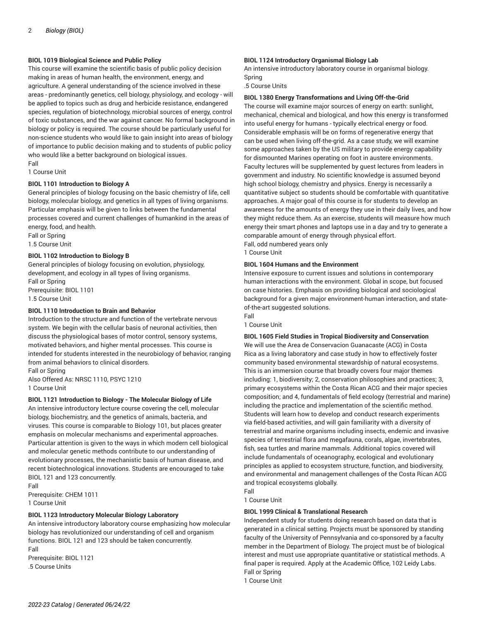# **BIOL 1019 Biological Science and Public Policy**

This course will examine the scientific basis of public policy decision making in areas of human health, the environment, energy, and agriculture. A general understanding of the science involved in these areas - predominantly genetics, cell biology, physiology, and ecology - will be applied to topics such as drug and herbicide resistance, endangered species, regulation of biotechnology, microbial sources of energy, control of toxic substances, and the war against cancer. No formal background in biology or policy is required. The course should be particularly useful for non-science students who would like to gain insight into areas of biology of importance to public decision making and to students of public policy who would like a better background on biological issues. Fall

1 Course Unit

# **BIOL 1101 Introduction to Biology A**

General principles of biology focusing on the basic chemistry of life, cell biology, molecular biology, and genetics in all types of living organisms. Particular emphasis will be given to links between the fundamental processes covered and current challenges of humankind in the areas of energy, food, and health.

Fall or Spring 1.5 Course Unit

#### **BIOL 1102 Introduction to Biology B**

General principles of biology focusing on evolution, physiology, development, and ecology in all types of living organisms. Fall or Spring Prerequisite: BIOL 1101 1.5 Course Unit

# **BIOL 1110 Introduction to Brain and Behavior**

Introduction to the structure and function of the vertebrate nervous system. We begin with the cellular basis of neuronal activities, then discuss the physiological bases of motor control, sensory systems, motivated behaviors, and higher mental processes. This course is intended for students interested in the neurobiology of behavior, ranging from animal behaviors to clinical disorders.

Fall or Spring Also Offered As: NRSC 1110, PSYC 1210 1 Course Unit

#### **BIOL 1121 Introduction to Biology - The Molecular Biology of Life**

An intensive introductory lecture course covering the cell, molecular biology, biochemistry, and the genetics of animals, bacteria, and viruses. This course is comparable to Biology 101, but places greater emphasis on molecular mechanisms and experimental approaches. Particular attention is given to the ways in which modern cell biological and molecular genetic methods contribute to our understanding of evolutionary processes, the mechanistic basis of human disease, and recent biotechnological innovations. Students are encouraged to take BIOL 121 and 123 concurrently.

Fall Prerequisite: CHEM 1011 1 Course Unit

#### **BIOL 1123 Introductory Molecular Biology Laboratory**

An intensive introductory laboratory course emphasizing how molecular biology has revolutionized our understanding of cell and organism functions. BIOL 121 and 123 should be taken concurrently. Fall

Prerequisite: BIOL 1121 .5 Course Units

# **BIOL 1124 Introductory Organismal Biology Lab**

An intensive introductory laboratory course in organismal biology. Spring

.5 Course Units

#### **BIOL 1380 Energy Transformations and Living Off-the-Grid**

The course will examine major sources of energy on earth: sunlight, mechanical, chemical and biological, and how this energy is transformed into useful energy for humans - typically electrical energy or food. Considerable emphasis will be on forms of regenerative energy that can be used when living off-the-grid. As a case study, we will examine some approaches taken by the US military to provide energy capability for dismounted Marines operating on foot in austere environments. Faculty lectures will be supplemented by guest lectures from leaders in government and industry. No scientific knowledge is assumed beyond high school biology, chemistry and physics. Energy is necessarily a quantitative subject so students should be comfortable with quantitative approaches. A major goal of this course is for students to develop an awareness for the amounts of energy they use in their daily lives, and how they might reduce them. As an exercise, students will measure how much energy their smart phones and laptops use in a day and try to generate a comparable amount of energy through physical effort. Fall, odd numbered years only

1 Course Unit

#### **BIOL 1604 Humans and the Environment**

Intensive exposure to current issues and solutions in contemporary human interactions with the environment. Global in scope, but focused on case histories. Emphasis on providing biological and sociological background for a given major environment-human interaction, and stateof-the-art suggested solutions. Fall

1 Course Unit

#### **BIOL 1605 Field Studies in Tropical Biodiversity and Conservation**

We will use the Area de Conservacion Guanacaste (ACG) in Costa Rica as a living laboratory and case study in how to effectively foster community based environmental stewardship of natural ecosystems. This is an immersion course that broadly covers four major themes including: 1, biodiversity; 2, conservation philosophies and practices; 3, primary ecosystems within the Costa Rican ACG and their major species composition; and 4, fundamentals of field ecology (terrestrial and marine) including the practice and implementation of the scientific method. Students will learn how to develop and conduct research experiments via field-based activities, and will gain familiarity with a diversity of terrestrial and marine organisms including insects, endemic and invasive species of terrestrial flora and megafauna, corals, algae, invertebrates, fish, sea turtles and marine mammals. Additional topics covered will include fundamentals of oceanography, ecological and evolutionary principles as applied to ecosystem structure, function, and biodiversity, and environmental and management challenges of the Costa Rican ACG and tropical ecosystems globally.

1 Course Unit

Fall

#### **BIOL 1999 Clinical & Translational Research**

Independent study for students doing research based on data that is generated in a clinical setting. Projects must be sponsored by standing faculty of the University of Pennsylvania and co-sponsored by a faculty member in the Department of Biology. The project must be of biological interest and must use appropriate quantitative or statistical methods. A final paper is required. Apply at the Academic Office, 102 Leidy Labs. Fall or Spring 1 Course Unit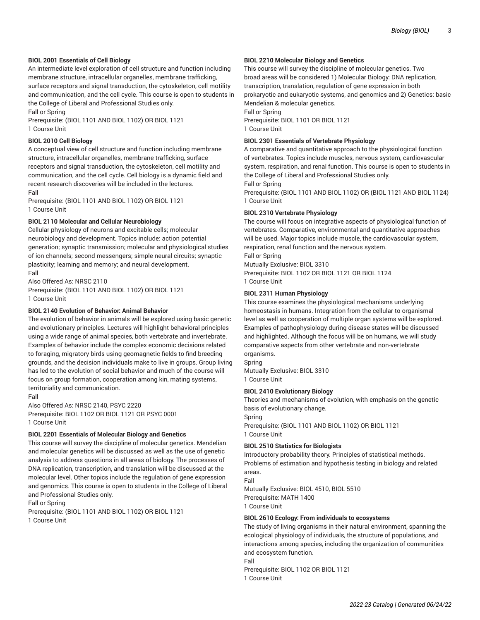# **BIOL 2001 Essentials of Cell Biology**

An intermediate level exploration of cell structure and function including membrane structure, intracellular organelles, membrane trafficking, surface receptors and signal transduction, the cytoskeleton, cell motility and communication, and the cell cycle. This course is open to students in the College of Liberal and Professional Studies only.

Fall or Spring

Prerequisite: (BIOL 1101 AND BIOL 1102) OR BIOL 1121 1 Course Unit

# **BIOL 2010 Cell Biology**

A conceptual view of cell structure and function including membrane structure, intracellular organelles, membrane trafficking, surface receptors and signal transduction, the cytoskeleton, cell motility and communication, and the cell cycle. Cell biology is a dynamic field and recent research discoveries will be included in the lectures. Fall

Prerequisite: (BIOL 1101 AND BIOL 1102) OR BIOL 1121 1 Course Unit

#### **BIOL 2110 Molecular and Cellular Neurobiology**

Cellular physiology of neurons and excitable cells; molecular neurobiology and development. Topics include: action potential generation; synaptic transmission; molecular and physiological studies of ion channels; second messengers; simple neural circuits; synaptic plasticity; learning and memory; and neural development. Fall

Also Offered As: NRSC 2110 Prerequisite: (BIOL 1101 AND BIOL 1102) OR BIOL 1121 1 Course Unit

#### **BIOL 2140 Evolution of Behavior: Animal Behavior**

The evolution of behavior in animals will be explored using basic genetic and evolutionary principles. Lectures will highlight behavioral principles using a wide range of animal species, both vertebrate and invertebrate. Examples of behavior include the complex economic decisions related to foraging, migratory birds using geomagnetic fields to find breeding grounds, and the decision individuals make to live in groups. Group living has led to the evolution of social behavior and much of the course will focus on group formation, cooperation among kin, mating systems, territoriality and communication.

#### Fall

Also Offered As: NRSC 2140, PSYC 2220 Prerequisite: BIOL 1102 OR BIOL 1121 OR PSYC 0001 1 Course Unit

# **BIOL 2201 Essentials of Molecular Biology and Genetics**

This course will survey the discipline of molecular genetics. Mendelian and molecular genetics will be discussed as well as the use of genetic analysis to address questions in all areas of biology. The processes of DNA replication, transcription, and translation will be discussed at the molecular level. Other topics include the regulation of gene expression and genomics. This course is open to students in the College of Liberal and Professional Studies only.

Fall or Spring

Prerequisite: (BIOL 1101 AND BIOL 1102) OR BIOL 1121 1 Course Unit

# **BIOL 2210 Molecular Biology and Genetics**

This course will survey the discipline of molecular genetics. Two broad areas will be considered 1) Molecular Biology: DNA replication, transcription, translation, regulation of gene expression in both prokaryotic and eukaryotic systems, and genomics and 2) Genetics: basic Mendelian & molecular genetics.

Fall or Spring

Prerequisite: BIOL 1101 OR BIOL 1121 1 Course Unit

#### **BIOL 2301 Essentials of Vertebrate Physiology**

A comparative and quantitative approach to the physiological function of vertebrates. Topics include muscles, nervous system, cardiovascular system, respiration, and renal function. This course is open to students in the College of Liberal and Professional Studies only. Fall or Spring

Prerequisite: (BIOL 1101 AND BIOL 1102) OR (BIOL 1121 AND BIOL 1124) 1 Course Unit

#### **BIOL 2310 Vertebrate Physiology**

The course will focus on integrative aspects of physiological function of vertebrates. Comparative, environmental and quantitative approaches will be used. Major topics include muscle, the cardiovascular system, respiration, renal function and the nervous system.

Fall or Spring

Mutually Exclusive: BIOL 3310

Prerequisite: BIOL 1102 OR BIOL 1121 OR BIOL 1124 1 Course Unit

#### **BIOL 2311 Human Physiology**

This course examines the physiological mechanisms underlying homeostasis in humans. Integration from the cellular to organismal level as well as cooperation of multiple organ systems will be explored. Examples of pathophysiology during disease states will be discussed and highlighted. Although the focus will be on humans, we will study comparative aspects from other vertebrate and non-vertebrate organisms.

Spring

Mutually Exclusive: BIOL 3310 1 Course Unit

# **BIOL 2410 Evolutionary Biology**

Theories and mechanisms of evolution, with emphasis on the genetic basis of evolutionary change.

Spring Prerequisite: (BIOL 1101 AND BIOL 1102) OR BIOL 1121 1 Course Unit

#### **BIOL 2510 Statistics for Biologists**

Introductory probability theory. Principles of statistical methods. Problems of estimation and hypothesis testing in biology and related areas. Fall

Mutually Exclusive: BIOL 4510, BIOL 5510 Prerequisite: MATH 1400 1 Course Unit

#### **BIOL 2610 Ecology: From individuals to ecosystems**

The study of living organisms in their natural environment, spanning the ecological physiology of individuals, the structure of populations, and interactions among species, including the organization of communities and ecosystem function.

Fall Prerequisite: BIOL 1102 OR BIOL 1121 1 Course Unit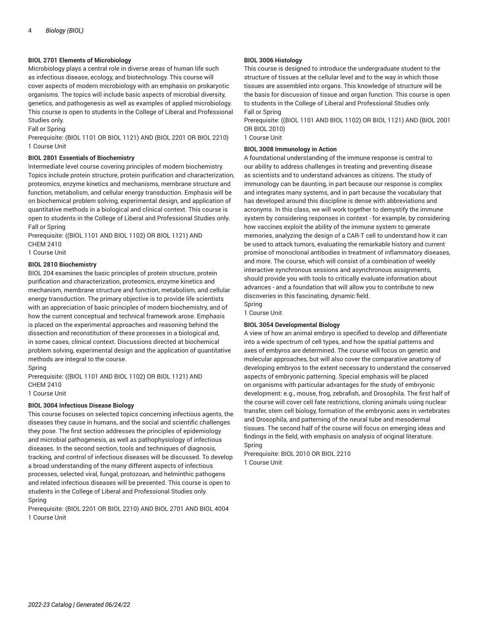# **BIOL 2701 Elements of Microbiology**

Microbiology plays a central role in diverse areas of human life such as infectious disease, ecology, and biotechnology. This course will cover aspects of modern microbiology with an emphasis on prokaryotic organisms. The topics will include basic aspects of microbial diversity, genetics, and pathogenesis as well as examples of applied microbiology. This course is open to students in the College of Liberal and Professional Studies only.

Fall or Spring

Prerequisite: (BIOL 1101 OR BIOL 1121) AND (BIOL 2201 OR BIOL 2210) 1 Course Unit

# **BIOL 2801 Essentials of Biochemistry**

Intermediate level course covering principles of modern biochemistry. Topics include protein structure, protein purification and characterization, proteomics, enzyme kinetics and mechanisms, membrane structure and function, metabolism, and cellular energy transduction. Emphasis will be on biochemical problem solving, experimental design, and application of quantitative methods in a biological and clinical context. This course is open to students in the College of Liberal and Professional Studies only. Fall or Spring

Prerequisite: ((BIOL 1101 AND BIOL 1102) OR BIOL 1121) AND CHEM 2410

1 Course Unit

# **BIOL 2810 Biochemistry**

BIOL 204 examines the basic principles of protein structure, protein purification and characterization, proteomics, enzyme kinetics and mechanism, membrane structure and function, metabolism, and cellular energy transduction. The primary objective is to provide life scientists with an appreciation of basic principles of modern biochemistry, and of how the current conceptual and technical framework arose. Emphasis is placed on the experimental approaches and reasoning behind the dissection and reconstitution of these processes in a biological and, in some cases, clinical context. Discussions directed at biochemical problem solving, experimental design and the application of quantitative methods are integral to the course.

Spring

Prerequisite: ((BIOL 1101 AND BIOL 1102) OR BIOL 1121) AND CHEM 2410

1 Course Unit

# **BIOL 3004 Infectious Disease Biology**

This course focuses on selected topics concerning infectious agents, the diseases they cause in humans, and the social and scientific challenges they pose. The first section addresses the principles of epidemiology and microbial pathogenesis, as well as pathophysiology of infectious diseases. In the second section, tools and techniques of diagnosis, tracking, and control of infectious diseases will be discussed. To develop a broad understanding of the many different aspects of infectious processes, selected viral, fungal, protozoan, and helminthic pathogens and related infectious diseases will be presented. This course is open to students in the College of Liberal and Professional Studies only. Spring

Prerequisite: (BIOL 2201 OR BIOL 2210) AND BIOL 2701 AND BIOL 4004 1 Course Unit

# **BIOL 3006 Histology**

This course is designed to introduce the undergraduate student to the structure of tissues at the cellular level and to the way in which those tissues are assembled into organs. This knowledge of structure will be the basis for discussion of tissue and organ function. This course is open to students in the College of Liberal and Professional Studies only. Fall or Spring

Prerequisite: ((BIOL 1101 AND BIOL 1102) OR BIOL 1121) AND (BIOL 2001 OR BIOL 2010)

1 Course Unit

# **BIOL 3008 Immunology in Action**

A foundational understanding of the immune response is central to our ability to address challenges in treating and preventing disease as scientists and to understand advances as citizens. The study of immunology can be daunting, in part because our response is complex and integrates many systems, and in part because the vocabulary that has developed around this discipline is dense with abbreviations and acronyms. In this class, we will work together to demystify the immune system by considering responses in context - for example, by considering how vaccines exploit the ability of the immune system to generate memories, analyzing the design of a CAR-T cell to understand how it can be used to attack tumors, evaluating the remarkable history and current promise of monoclonal antibodies in treatment of inflammatory diseases, and more. The course, which will consist of a combination of weekly interactive synchronous sessions and asynchronous assignments, should provide you with tools to critically evaluate information about advances - and a foundation that will allow you to contribute to new discoveries in this fascinating, dynamic field. Spring

1 Course Unit

# **BIOL 3054 Developmental Biology**

A view of how an animal embryo is specified to develop and differentiate into a wide spectrum of cell types, and how the spatial patterns and axes of embyros are determined. The course will focus on genetic and molecular approaches, but will also cover the comparative anatomy of developing embryos to the extent necessary to understand the conserved aspects of embryonic patterning. Special emphasis will be placed on organisms with particular advantages for the study of embryonic development: e.g., mouse, frog, zebrafish, and Drosophila. The first half of the course will cover cell fate restrictions, cloning animals using nuclear transfer, stem cell biology, formation of the embryonic axes in vertebrates and Drosophila, and patterning of the neural tube and mesodermal tissues. The second half of the course will focus on emerging ideas and findings in the field, with emphasis on analysis of original literature. Spring

Prerequisite: BIOL 2010 OR BIOL 2210 1 Course Unit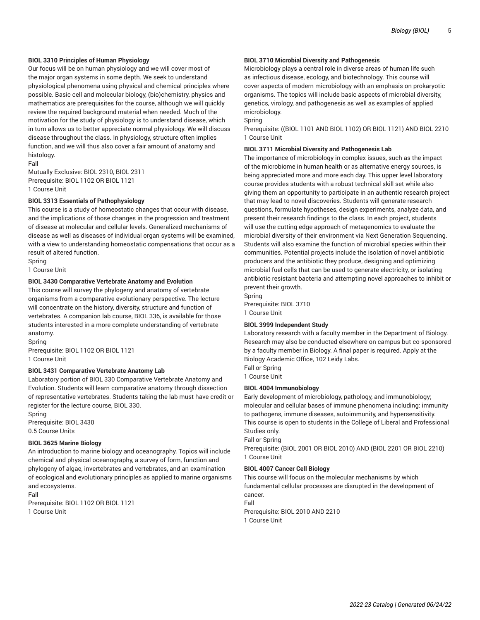## **BIOL 3310 Principles of Human Physiology**

Our focus will be on human physiology and we will cover most of the major organ systems in some depth. We seek to understand physiological phenomena using physical and chemical principles where possible. Basic cell and molecular biology, (bio)chemistry, physics and mathematics are prerequisites for the course, although we will quickly review the required background material when needed. Much of the motivation for the study of physiology is to understand disease, which in turn allows us to better appreciate normal physiology. We will discuss disease throughout the class. In physiology, structure often implies function, and we will thus also cover a fair amount of anatomy and histology.

Fall

Mutually Exclusive: BIOL 2310, BIOL 2311 Prerequisite: BIOL 1102 OR BIOL 1121 1 Course Unit

#### **BIOL 3313 Essentials of Pathophysiology**

This course is a study of homeostatic changes that occur with disease, and the implications of those changes in the progression and treatment of disease at molecular and cellular levels. Generalized mechanisms of disease as well as diseases of individual organ systems will be examined, with a view to understanding homeostatic compensations that occur as a result of altered function.

Spring

1 Course Unit

#### **BIOL 3430 Comparative Vertebrate Anatomy and Evolution**

This course will survey the phylogeny and anatomy of vertebrate organisms from a comparative evolutionary perspective. The lecture will concentrate on the history, diversity, structure and function of vertebrates. A companion lab course, BIOL 336, is available for those students interested in a more complete understanding of vertebrate anatomy.

Spring Prerequisite: BIOL 1102 OR BIOL 1121 1 Course Unit

#### **BIOL 3431 Comparative Vertebrate Anatomy Lab**

Laboratory portion of BIOL 330 Comparative Vertebrate Anatomy and Evolution. Students will learn comparative anatomy through dissection of representative vertebrates. Students taking the lab must have credit or register for the lecture course, BIOL 330.

Spring Prerequisite: BIOL 3430 0.5 Course Units

# **BIOL 3625 Marine Biology**

An introduction to marine biology and oceanography. Topics will include chemical and physical oceanography, a survey of form, function and phylogeny of algae, invertebrates and vertebrates, and an examination of ecological and evolutionary principles as applied to marine organisms and ecosystems. Fall

Prerequisite: BIOL 1102 OR BIOL 1121 1 Course Unit

#### **BIOL 3710 Microbial Diversity and Pathogenesis**

Microbiology plays a central role in diverse areas of human life such as infectious disease, ecology, and biotechnology. This course will cover aspects of modern microbiology with an emphasis on prokaryotic organisms. The topics will include basic aspects of microbial diversity, genetics, virology, and pathogenesis as well as examples of applied microbiology.

Spring

Prerequisite: ((BIOL 1101 AND BIOL 1102) OR BIOL 1121) AND BIOL 2210 1 Course Unit

## **BIOL 3711 Microbial Diversity and Pathogenesis Lab**

The importance of microbiology in complex issues, such as the impact of the microbiome in human health or as alternative energy sources, is being appreciated more and more each day. This upper level laboratory course provides students with a robust technical skill set while also giving them an opportunity to participate in an authentic research project that may lead to novel discoveries. Students will generate research questions, formulate hypotheses, design experiments, analyze data, and present their research findings to the class. In each project, students will use the cutting edge approach of metagenomics to evaluate the microbial diversity of their environment via Next Generation Sequencing. Students will also examine the function of microbial species within their communities. Potential projects include the isolation of novel antibiotic producers and the antibiotic they produce, designing and optimizing microbial fuel cells that can be used to generate electricity, or isolating antibiotic resistant bacteria and attempting novel approaches to inhibit or prevent their growth.

Spring Prerequisite: BIOL 3710 1 Course Unit

# **BIOL 3999 Independent Study**

Laboratory research with a faculty member in the Department of Biology. Research may also be conducted elsewhere on campus but co-sponsored by a faculty member in Biology. A final paper is required. Apply at the Biology Academic Office, 102 Leidy Labs. Fall or Spring

1 Course Unit

# **BIOL 4004 Immunobiology**

Early development of microbiology, pathology, and immunobiology; molecular and cellular bases of immune phenomena including: immunity to pathogens, immune diseases, autoimmunity, and hypersensitivity. This course is open to students in the College of Liberal and Professional Studies only.

Fall or Spring

Prerequisite: (BIOL 2001 OR BIOL 2010) AND (BIOL 2201 OR BIOL 2210) 1 Course Unit

# **BIOL 4007 Cancer Cell Biology**

This course will focus on the molecular mechanisms by which fundamental cellular processes are disrupted in the development of cancer. Fall

Prerequisite: BIOL 2010 AND 2210 1 Course Unit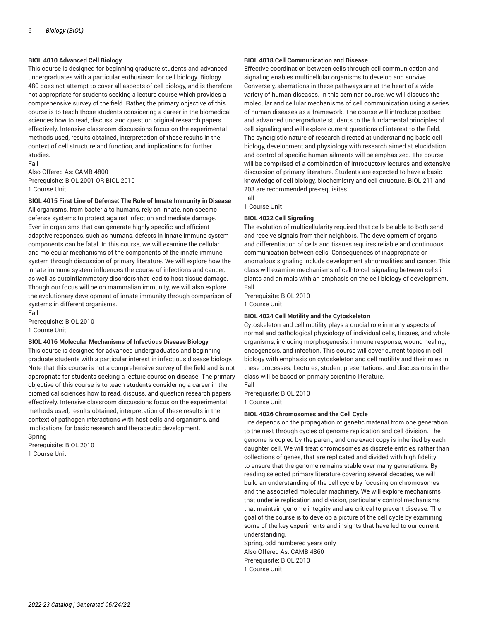# **BIOL 4010 Advanced Cell Biology**

This course is designed for beginning graduate students and advanced undergraduates with a particular enthusiasm for cell biology. Biology 480 does not attempt to cover all aspects of cell biology, and is therefore not appropriate for students seeking a lecture course which provides a comprehensive survey of the field. Rather, the primary objective of this course is to teach those students considering a career in the biomedical sciences how to read, discuss, and question original research papers effectively. Intensive classroom discussions focus on the experimental methods used, results obtained, interpretation of these results in the context of cell structure and function, and implications for further studies. Fall

Also Offered As: CAMB 4800 Prerequisite: BIOL 2001 OR BIOL 2010 1 Course Unit

# **BIOL 4015 First Line of Defense: The Role of Innate Immunity in Disease**

All organisms, from bacteria to humans, rely on innate, non-specific defense systems to protect against infection and mediate damage. Even in organisms that can generate highly specific and efficient adaptive responses, such as humans, defects in innate immune system components can be fatal. In this course, we will examine the cellular and molecular mechanisms of the components of the innate immune system through discussion of primary literature. We will explore how the innate immune system influences the course of infections and cancer, as well as autoinflammatory disorders that lead to host tissue damage. Though our focus will be on mammalian immunity, we will also explore the evolutionary development of innate immunity through comparison of systems in different organisms.

Fall Prerequisite: BIOL 2010 1 Course Unit

#### **BIOL 4016 Molecular Mechanisms of Infectious Disease Biology**

This course is designed for advanced undergraduates and beginning graduate students with a particular interest in infectious disease biology. Note that this course is not a comprehensive survey of the field and is not appropriate for students seeking a lecture course on disease. The primary objective of this course is to teach students considering a career in the biomedical sciences how to read, discuss, and question research papers effectively. Intensive classroom discussions focus on the experimental methods used, results obtained, interpretation of these results in the context of pathogen interactions with host cells and organisms, and implications for basic research and therapeutic development. Spring

Prerequisite: BIOL 2010 1 Course Unit

# **BIOL 4018 Cell Communication and Disease**

Effective coordination between cells through cell communication and signaling enables multicellular organisms to develop and survive. Conversely, aberrations in these pathways are at the heart of a wide variety of human diseases. In this seminar course, we will discuss the molecular and cellular mechanisms of cell communication using a series of human diseases as a framework. The course will introduce postbac and advanced undergraduate students to the fundamental principles of cell signaling and will explore current questions of interest to the field. The synergistic nature of research directed at understanding basic cell biology, development and physiology with research aimed at elucidation and control of specific human ailments will be emphasized. The course will be comprised of a combination of introductory lectures and extensive discussion of primary literature. Students are expected to have a basic knowledge of cell biology, biochemistry and cell structure. BIOL 211 and 203 are recommended pre-requisites.

Fall

# 1 Course Unit

# **BIOL 4022 Cell Signaling**

The evolution of multicellularity required that cells be able to both send and receive signals from their neighbors. The development of organs and differentiation of cells and tissues requires reliable and continuous communication between cells. Consequences of inappropriate or anomalous signaling include development abnormalities and cancer. This class will examine mechanisms of cell-to-cell signaling between cells in plants and animals with an emphasis on the cell biology of development. Fall

Prerequisite: BIOL 2010 1 Course Unit

#### **BIOL 4024 Cell Motility and the Cytoskeleton**

Cytoskeleton and cell motility plays a crucial role in many aspects of normal and pathological physiology of individual cells, tissues, and whole organisms, including morphogenesis, immune response, wound healing, oncogenesis, and infection. This course will cover current topics in cell biology with emphasis on cytoskeleton and cell motility and their roles in these processes. Lectures, student presentations, and discussions in the class will be based on primary scientific literature.

Fall

Prerequisite: BIOL 2010

1 Course Unit

#### **BIOL 4026 Chromosomes and the Cell Cycle**

Life depends on the propagation of genetic material from one generation to the next through cycles of genome replication and cell division. The genome is copied by the parent, and one exact copy is inherited by each daughter cell. We will treat chromosomes as discrete entities, rather than collections of genes, that are replicated and divided with high fidelity to ensure that the genome remains stable over many generations. By reading selected primary literature covering several decades, we will build an understanding of the cell cycle by focusing on chromosomes and the associated molecular machinery. We will explore mechanisms that underlie replication and division, particularly control mechanisms that maintain genome integrity and are critical to prevent disease. The goal of the course is to develop a picture of the cell cycle by examining some of the key experiments and insights that have led to our current understanding.

Spring, odd numbered years only Also Offered As: CAMB 4860 Prerequisite: BIOL 2010 1 Course Unit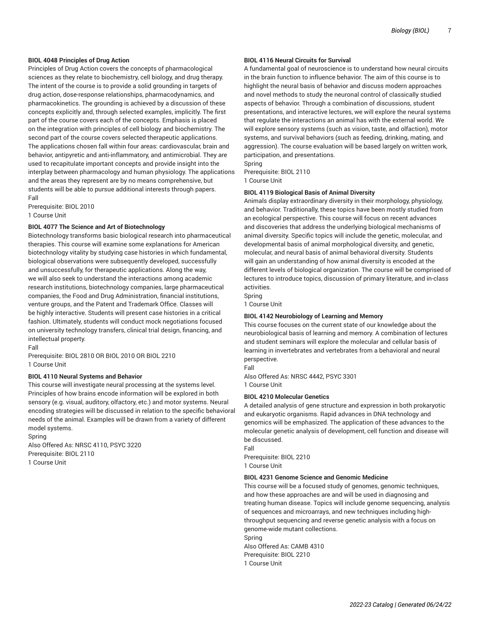# **BIOL 4048 Principles of Drug Action**

Principles of Drug Action covers the concepts of pharmacological sciences as they relate to biochemistry, cell biology, and drug therapy. The intent of the course is to provide a solid grounding in targets of drug action, dose-response relationships, pharmacodynamics, and pharmacokinetics. The grounding is achieved by a discussion of these concepts explicitly and, through selected examples, implicitly. The first part of the course covers each of the concepts. Emphasis is placed on the integration with principles of cell biology and biochemistry. The second part of the course covers selected therapeutic applications. The applications chosen fall within four areas: cardiovascular, brain and behavior, antipyretic and anti-inflammatory, and antimicrobial. They are used to recapitulate important concepts and provide insight into the interplay between pharmacology and human physiology. The applications and the areas they represent are by no means comprehensive, but students will be able to pursue additional interests through papers. Fall

Prerequisite: BIOL 2010 1 Course Unit

#### **BIOL 4077 The Science and Art of Biotechnology**

Biotechnology transforms basic biological research into pharmaceutical therapies. This course will examine some explanations for American biotechnology vitality by studying case histories in which fundamental, biological observations were subsequently developed, successfully and unsuccessfully, for therapeutic applications. Along the way, we will also seek to understand the interactions among academic research institutions, biotechnology companies, large pharmaceutical companies, the Food and Drug Administration, financial institutions, venture groups, and the Patent and Trademark Office. Classes will be highly interactive. Students will present case histories in a critical fashion. Ultimately, students will conduct mock negotiations focused on university technology transfers, clinical trial design, financing, and intellectual property.

#### Fall

Prerequisite: BIOL 2810 OR BIOL 2010 OR BIOL 2210 1 Course Unit

#### **BIOL 4110 Neural Systems and Behavior**

This course will investigate neural processing at the systems level. Principles of how brains encode information will be explored in both sensory (e.g. visual, auditory, olfactory, etc.) and motor systems. Neural encoding strategies will be discussed in relation to the specific behavioral needs of the animal. Examples will be drawn from a variety of different model systems.

Spring Also Offered As: NRSC 4110, PSYC 3220 Prerequisite: BIOL 2110 1 Course Unit

# **BIOL 4116 Neural Circuits for Survival**

A fundamental goal of neuroscience is to understand how neural circuits in the brain function to influence behavior. The aim of this course is to highlight the neural basis of behavior and discuss modern approaches and novel methods to study the neuronal control of classically studied aspects of behavior. Through a combination of discussions, student presentations, and interactive lectures, we will explore the neural systems that regulate the interactions an animal has with the external world. We will explore sensory systems (such as vision, taste, and olfaction), motor systems, and survival behaviors (such as feeding, drinking, mating, and aggression). The course evaluation will be based largely on written work, participation, and presentations.

Spring Prerequisite: BIOL 2110 1 Course Unit

#### **BIOL 4119 Biological Basis of Animal Diversity**

Animals display extraordinary diversity in their morphology, physiology, and behavior. Traditionally, these topics have been mostly studied from an ecological perspective. This course will focus on recent advances and discoveries that address the underlying biological mechanisms of animal diversity. Specific topics will include the genetic, molecular, and developmental basis of animal morphological diversity, and genetic, molecular, and neural basis of animal behavioral diversity. Students will gain an understanding of how animal diversity is encoded at the different levels of biological organization. The course will be comprised of lectures to introduce topics, discussion of primary literature, and in-class activities.

Spring

1 Course Unit

# **BIOL 4142 Neurobiology of Learning and Memory**

This course focuses on the current state of our knowledge about the neurobiological basis of learning and memory. A combination of lectures and student seminars will explore the molecular and cellular basis of learning in invertebrates and vertebrates from a behavioral and neural perspective.

Fall

Also Offered As: NRSC 4442, PSYC 3301 1 Course Unit

#### **BIOL 4210 Molecular Genetics**

A detailed analysis of gene structure and expression in both prokaryotic and eukaryotic organisms. Rapid advances in DNA technology and genomics will be emphasized. The application of these advances to the molecular genetic analysis of development, cell function and disease will be discussed.

Fall Prerequisite: BIOL 2210 1 Course Unit

#### **BIOL 4231 Genome Science and Genomic Medicine**

This course will be a focused study of genomes, genomic techniques, and how these approaches are and will be used in diagnosing and treating human disease. Topics will include genome sequencing, analysis of sequences and microarrays, and new techniques including highthroughput sequencing and reverse genetic analysis with a focus on genome-wide mutant collections. Spring Also Offered As: CAMB 4310

Prerequisite: BIOL 2210

1 Course Unit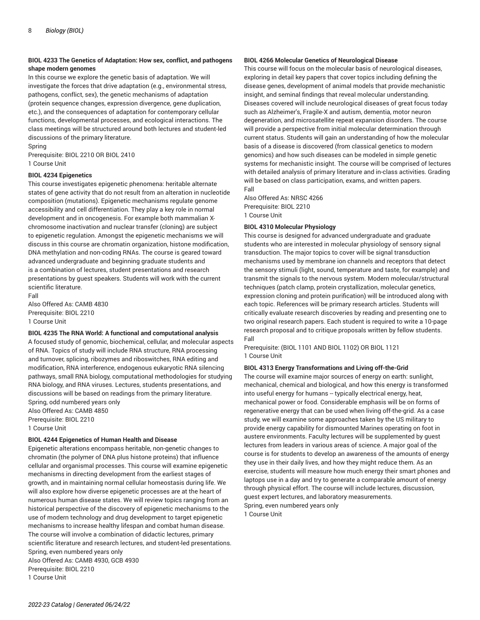# **BIOL 4233 The Genetics of Adaptation: How sex, conflict, and pathogens shape modern genomes**

In this course we explore the genetic basis of adaptation. We will investigate the forces that drive adaptation (e.g., environmental stress, pathogens, conflict, sex), the genetic mechanisms of adaptation (protein sequence changes, expression divergence, gene duplication, etc.), and the consequences of adaptation for contemporary cellular functions, developmental processes, and ecological interactions. The class meetings will be structured around both lectures and student-led discussions of the primary literature.

Spring

Prerequisite: BIOL 2210 OR BIOL 2410 1 Course Unit

# **BIOL 4234 Epigenetics**

This course investigates epigenetic phenomena: heritable alternate states of gene activity that do not result from an alteration in nucleotide composition (mutations). Epigenetic mechanisms regulate genome accessibility and cell differentiation. They play a key role in normal development and in oncogenesis. For example both mammalian Xchromosome inactivation and nuclear transfer (cloning) are subject to epigenetic regulation. Amongst the epigenetic mechanisms we will discuss in this course are chromatin organization, histone modification, DNA methylation and non-coding RNAs. The course is geared toward advanced undergraduate and beginning graduate students and is a combination of lectures, student presentations and research presentations by guest speakers. Students will work with the current scientific literature.

Fall Also Offered As: CAMB 4830 Prerequisite: BIOL 2210

1 Course Unit

#### **BIOL 4235 The RNA World: A functional and computational analysis**

A focused study of genomic, biochemical, cellular, and molecular aspects of RNA. Topics of study will include RNA structure, RNA processing and turnover, splicing, ribozymes and riboswitches, RNA editing and modification, RNA interference, endogenous eukaryotic RNA silencing pathways, small RNA biology, computational methodologies for studying RNA biology, and RNA viruses. Lectures, students presentations, and discussions will be based on readings from the primary literature. Spring, odd numbered years only Also Offered As: CAMB 4850

Prerequisite: BIOL 2210 1 Course Unit

#### **BIOL 4244 Epigenetics of Human Health and Disease**

Epigenetic alterations encompass heritable, non-genetic changes to chromatin (the polymer of DNA plus histone proteins) that influence cellular and organismal processes. This course will examine epigenetic mechanisms in directing development from the earliest stages of growth, and in maintaining normal cellular homeostasis during life. We will also explore how diverse epigenetic processes are at the heart of numerous human disease states. We will review topics ranging from an historical perspective of the discovery of epigenetic mechanisms to the use of modern technology and drug development to target epigenetic mechanisms to increase healthy lifespan and combat human disease. The course will involve a combination of didactic lectures, primary scientific literature and research lectures, and student-led presentations. Spring, even numbered years only

Also Offered As: CAMB 4930, GCB 4930 Prerequisite: BIOL 2210 1 Course Unit

#### **BIOL 4266 Molecular Genetics of Neurological Disease**

This course will focus on the molecular basis of neurological diseases, exploring in detail key papers that cover topics including defining the disease genes, development of animal models that provide mechanistic insight, and seminal findings that reveal molecular understanding. Diseases covered will include neurological diseases of great focus today such as Alzheimer's, Fragile-X and autism, dementia, motor neuron degeneration, and microsatellite repeat expansion disorders. The course will provide a perspective from initial molecular determination through current status. Students will gain an understanding of how the molecular basis of a disease is discovered (from classical genetics to modern genomics) and how such diseases can be modeled in simple genetic systems for mechanistic insight. The course will be comprised of lectures with detailed analysis of primary literature and in-class activities. Grading will be based on class participation, exams, and written papers. Fall

Also Offered As: NRSC 4266 Prerequisite: BIOL 2210 1 Course Unit

#### **BIOL 4310 Molecular Physiology**

This course is designed for advanced undergraduate and graduate students who are interested in molecular physiology of sensory signal transduction. The major topics to cover will be signal transduction mechanisms used by membrane ion channels and receptors that detect the sensory stimuli (light, sound, temperature and taste, for example) and transmit the signals to the nervous system. Modern molecular/structural techniques (patch clamp, protein crystallization, molecular genetics, expression cloning and protein purification) will be introduced along with each topic. References will be primary research articles. Students will critically evaluate research discoveries by reading and presenting one to two original research papers. Each student is required to write a 10-page research proposal and to critique proposals written by fellow students. Fall

Prerequisite: (BIOL 1101 AND BIOL 1102) OR BIOL 1121 1 Course Unit

#### **BIOL 4313 Energy Transformations and Living off-the-Grid**

The course will examine major sources of energy on earth: sunlight, mechanical, chemical and biological, and how this energy is transformed into useful energy for humans -- typically electrical energy, heat, mechanical power or food. Considerable emphasis will be on forms of regenerative energy that can be used when living off-the-grid. As a case study, we will examine some approaches taken by the US military to provide energy capability for dismounted Marines operating on foot in austere environments. Faculty lectures will be supplemented by guest lectures from leaders in various areas of science. A major goal of the course is for students to develop an awareness of the amounts of energy they use in their daily lives, and how they might reduce them. As an exercise, students will measure how much energy their smart phones and laptops use in a day and try to generate a comparable amount of energy through physical effort. The course will include lectures, discussion, guest expert lectures, and laboratory measurements. Spring, even numbered years only

1 Course Unit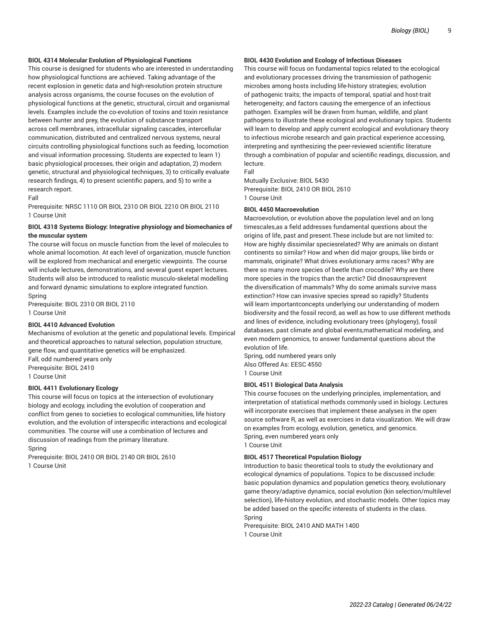# **BIOL 4314 Molecular Evolution of Physiological Functions**

This course is designed for students who are interested in understanding how physiological functions are achieved. Taking advantage of the recent explosion in genetic data and high-resolution protein structure analysis across organisms, the course focuses on the evolution of physiological functions at the genetic, structural, circuit and organismal levels. Examples include the co-evolution of toxins and toxin resistance between hunter and prey, the evolution of substance transport across cell membranes, intracellular signaling cascades, intercellular communication, distributed and centralized nervous systems, neural circuits controlling physiological functions such as feeding, locomotion and visual information processing. Students are expected to learn 1) basic physiological processes, their origin and adaptation, 2) modern genetic, structural and physiological techniques, 3) to critically evaluate research findings, 4) to present scientific papers, and 5) to write a research report.

#### Fall

Prerequisite: NRSC 1110 OR BIOL 2310 OR BIOL 2210 OR BIOL 2110 1 Course Unit

# **BIOL 4318 Systems Biology: Integrative physiology and biomechanics of the muscular system**

The course will focus on muscle function from the level of molecules to whole animal locomotion. At each level of organization, muscle function will be explored from mechanical and energetic viewpoints. The course will include lectures, demonstrations, and several guest expert lectures. Students will also be introduced to realistic musculo-skeletal modelling and forward dynamic simulations to explore integrated function. Spring

Prerequisite: BIOL 2310 OR BIOL 2110 1 Course Unit

# **BIOL 4410 Advanced Evolution**

Mechanisms of evolution at the genetic and populational levels. Empirical and theoretical approaches to natural selection, population structure, gene flow, and quantitative genetics will be emphasized.

Fall, odd numbered years only Prerequisite: BIOL 2410 1 Course Unit

# **BIOL 4411 Evolutionary Ecology**

This course will focus on topics at the intersection of evolutionary biology and ecology, including the evolution of cooperation and conflict from genes to societies to ecological communities, life history evolution, and the evolution of interspecific interactions and ecological communities. The course will use a combination of lectures and discussion of readings from the primary literature. Spring

Prerequisite: BIOL 2410 OR BIOL 2140 OR BIOL 2610 1 Course Unit

# **BIOL 4430 Evolution and Ecology of Infectious Diseases**

This course will focus on fundamental topics related to the ecological and evolutionary processes driving the transmission of pathogenic microbes among hosts including life-history strategies; evolution of pathogenic traits; the impacts of temporal, spatial and host-trait heterogeneity; and factors causing the emergence of an infectious pathogen. Examples will be drawn from human, wildlife, and plant pathogens to illustrate these ecological and evolutionary topics. Students will learn to develop and apply current ecological and evolutionary theory to infectious microbe research and gain practical experience accessing, interpreting and synthesizing the peer-reviewed scientific literature through a combination of popular and scientific readings, discussion, and lecture.

Fall

Mutually Exclusive: BIOL 5430 Prerequisite: BIOL 2410 OR BIOL 2610 1 Course Unit

#### **BIOL 4450 Macroevolution**

Macroevolution, or evolution above the population level and on long timescales,as a field addresses fundamental questions about the origins of life, past and present.These include but are not limited to: How are highly dissimilar speciesrelated? Why are animals on distant continents so similar? How and when did major groups, like birds or mammals, originate? What drives evolutionary arms races? Why are there so many more species of beetle than crocodile? Why are there more species in the tropics than the arctic? Did dinosaursprevent the diversification of mammals? Why do some animals survive mass extinction? How can invasive species spread so rapidly? Students will learn importantconcepts underlying our understanding of modern biodiversity and the fossil record, as well as how to use different methods and lines of evidence, including evolutionary trees (phylogeny), fossil databases, past climate and global events,mathematical modeling, and even modern genomics, to answer fundamental questions about the evolution of life.

Spring, odd numbered years only Also Offered As: EESC 4550 1 Course Unit

# **BIOL 4511 Biological Data Analysis**

This course focuses on the underlying principles, implementation, and interpretation of statistical methods commonly used in biology. Lectures will incorporate exercises that implement these analyses in the open source software R, as well as exercises in data visualization. We will draw on examples from ecology, evolution, genetics, and genomics. Spring, even numbered years only 1 Course Unit

# **BIOL 4517 Theoretical Population Biology**

Introduction to basic theoretical tools to study the evolutionary and ecological dynamics of populations. Topics to be discussed include: basic population dynamics and population genetics theory, evolutionary game theory/adaptive dynamics, social evolution (kin selection/multilevel selection), life-history evolution, and stochastic models. Other topics may be added based on the specific interests of students in the class. Spring

Prerequisite: BIOL 2410 AND MATH 1400 1 Course Unit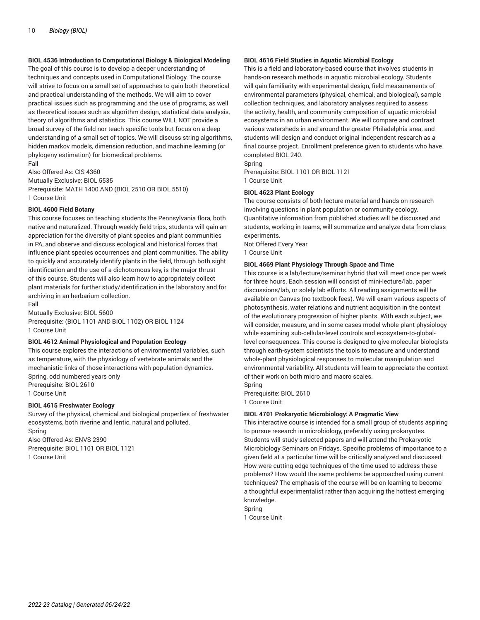# **BIOL 4536 Introduction to Computational Biology & Biological Modeling**

The goal of this course is to develop a deeper understanding of techniques and concepts used in Computational Biology. The course will strive to focus on a small set of approaches to gain both theoretical and practical understanding of the methods. We will aim to cover practical issues such as programming and the use of programs, as well as theoretical issues such as algorithm design, statistical data analysis, theory of algorithms and statistics. This course WILL NOT provide a broad survey of the field nor teach specific tools but focus on a deep understanding of a small set of topics. We will discuss string algorithms, hidden markov models, dimension reduction, and machine learning (or phylogeny estimation) for biomedical problems. Fall

Also Offered As: CIS 4360 Mutually Exclusive: BIOL 5535 Prerequisite: MATH 1400 AND (BIOL 2510 OR BIOL 5510) 1 Course Unit

#### **BIOL 4600 Field Botany**

This course focuses on teaching students the Pennsylvania flora, both native and naturalized. Through weekly field trips, students will gain an appreciation for the diversity of plant species and plant communities in PA, and observe and discuss ecological and historical forces that influence plant species occurrences and plant communities. The ability to quickly and accurately identify plants in the field, through both sight identification and the use of a dichotomous key, is the major thrust of this course. Students will also learn how to appropriately collect plant materials for further study/identification in the laboratory and for archiving in an herbarium collection.

Fall

Mutually Exclusive: BIOL 5600 Prerequisite: (BIOL 1101 AND BIOL 1102) OR BIOL 1124 1 Course Unit

#### **BIOL 4612 Animal Physiological and Population Ecology**

This course explores the interactions of environmental variables, such as temperature, with the physiology of vertebrate animals and the mechanistic links of those interactions with population dynamics. Spring, odd numbered years only Prerequisite: BIOL 2610 1 Course Unit

# **BIOL 4615 Freshwater Ecology**

Survey of the physical, chemical and biological properties of freshwater ecosystems, both riverine and lentic, natural and polluted. Spring Also Offered As: ENVS 2390 Prerequisite: BIOL 1101 OR BIOL 1121

1 Course Unit

#### **BIOL 4616 Field Studies in Aquatic Microbial Ecology**

This is a field and laboratory-based course that involves students in hands-on research methods in aquatic microbial ecology. Students will gain familiarity with experimental design, field measurements of environmental parameters (physical, chemical, and biological), sample collection techniques, and laboratory analyses required to assess the activity, health, and community composition of aquatic microbial ecosystems in an urban environment. We will compare and contrast various watersheds in and around the greater Philadelphia area, and students will design and conduct original independent research as a final course project. Enrollment preference given to students who have completed BIOL 240.

Spring Prerequisite: BIOL 1101 OR BIOL 1121 1 Course Unit

#### **BIOL 4623 Plant Ecology**

The course consists of both lecture material and hands on research involving questions in plant population or community ecology. Quantitative information from published studies will be discussed and students, working in teams, will summarize and analyze data from class experiments.

Not Offered Every Year

1 Course Unit

#### **BIOL 4669 Plant Physiology Through Space and Time**

This course is a lab/lecture/seminar hybrid that will meet once per week for three hours. Each session will consist of mini-lecture/lab, paper discussions/lab, or solely lab efforts. All reading assignments will be available on Canvas (no textbook fees). We will exam various aspects of photosynthesis, water relations and nutrient acquisition in the context of the evolutionary progression of higher plants. With each subject, we will consider, measure, and in some cases model whole-plant physiology while examining sub-cellular-level controls and ecosystem-to-globallevel consequences. This course is designed to give molecular biologists through earth-system scientists the tools to measure and understand whole-plant physiological responses to molecular manipulation and environmental variability. All students will learn to appreciate the context of their work on both micro and macro scales.

Spring

Prerequisite: BIOL 2610 1 Course Unit

#### **BIOL 4701 Prokaryotic Microbiology: A Pragmatic View**

This interactive course is intended for a small group of students aspiring to pursue research in microbiology, preferably using prokaryotes. Students will study selected papers and will attend the Prokaryotic Microbiology Seminars on Fridays. Specific problems of importance to a given field at a particular time will be critically analyzed and discussed: How were cutting edge techniques of the time used to address these problems? How would the same problems be approached using current techniques? The emphasis of the course will be on learning to become a thoughtful experimentalist rather than acquiring the hottest emerging knowledge.

Spring 1 Course Unit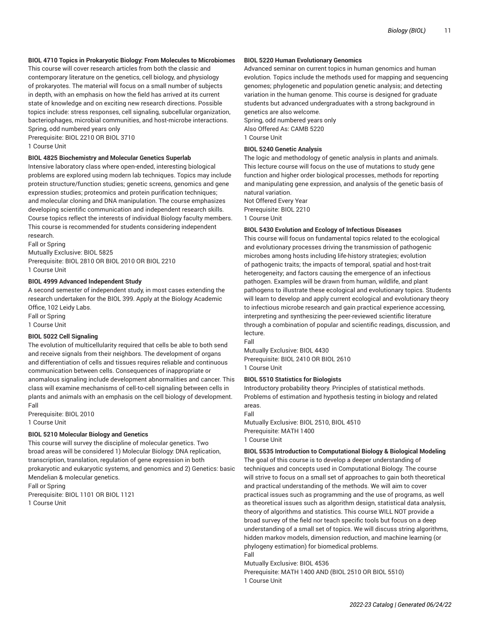# **BIOL 4710 Topics in Prokaryotic Biology: From Molecules to Microbiomes**

This course will cover research articles from both the classic and contemporary literature on the genetics, cell biology, and physiology of prokaryotes. The material will focus on a small number of subjects in depth, with an emphasis on how the field has arrived at its current state of knowledge and on exciting new research directions. Possible topics include: stress responses, cell signaling, subcellular organization, bacteriophages, microbial communities, and host-microbe interactions. Spring, odd numbered years only

Prerequisite: BIOL 2210 OR BIOL 3710

1 Course Unit

# **BIOL 4825 Biochemistry and Molecular Genetics Superlab**

Intensive laboratory class where open-ended, interesting biological problems are explored using modern lab techniques. Topics may include protein structure/function studies; genetic screens, genomics and gene expression studies; proteomics and protein purification techniques; and molecular cloning and DNA manipulation. The course emphasizes developing scientific communication and independent research skills. Course topics reflect the interests of individual Biology faculty members. This course is recommended for students considering independent research.

Fall or Spring Mutually Exclusive: BIOL 5825 Prerequisite: BIOL 2810 OR BIOL 2010 OR BIOL 2210 1 Course Unit

#### **BIOL 4999 Advanced Independent Study**

A second semester of independent study, in most cases extending the research undertaken for the BIOL 399. Apply at the Biology Academic Office, 102 Leidy Labs. Fall or Spring

1 Course Unit

# **BIOL 5022 Cell Signaling**

The evolution of multicellularity required that cells be able to both send and receive signals from their neighbors. The development of organs and differentiation of cells and tissues requires reliable and continuous communication between cells. Consequences of inappropriate or anomalous signaling include development abnormalities and cancer. This class will examine mechanisms of cell-to-cell signaling between cells in plants and animals with an emphasis on the cell biology of development. Fall

Prerequisite: BIOL 2010 1 Course Unit

# **BIOL 5210 Molecular Biology and Genetics**

This course will survey the discipline of molecular genetics. Two broad areas will be considered 1) Molecular Biology: DNA replication, transcription, translation, regulation of gene expression in both prokaryotic and eukaryotic systems, and genomics and 2) Genetics: basic Mendelian & molecular genetics. Fall or Spring

Prerequisite: BIOL 1101 OR BIOL 1121 1 Course Unit

#### **BIOL 5220 Human Evolutionary Genomics**

Advanced seminar on current topics in human genomics and human evolution. Topics include the methods used for mapping and sequencing genomes; phylogenetic and population genetic analysis; and detecting variation in the human genome. This course is designed for graduate students but advanced undergraduates with a strong background in genetics are also welcome.

Spring, odd numbered years only Also Offered As: CAMB 5220 1 Course Unit

## **BIOL 5240 Genetic Analysis**

The logic and methodology of genetic analysis in plants and animals. This lecture course will focus on the use of mutations to study gene function and higher order biological processes, methods for reporting and manipulating gene expression, and analysis of the genetic basis of natural variation.

Not Offered Every Year Prerequisite: BIOL 2210 1 Course Unit

#### **BIOL 5430 Evolution and Ecology of Infectious Diseases**

This course will focus on fundamental topics related to the ecological and evolutionary processes driving the transmission of pathogenic microbes among hosts including life-history strategies; evolution of pathogenic traits; the impacts of temporal, spatial and host-trait heterogeneity; and factors causing the emergence of an infectious pathogen. Examples will be drawn from human, wildlife, and plant pathogens to illustrate these ecological and evolutionary topics. Students will learn to develop and apply current ecological and evolutionary theory to infectious microbe research and gain practical experience accessing, interpreting and synthesizing the peer-reviewed scientific literature through a combination of popular and scientific readings, discussion, and lecture.

Fall

Mutually Exclusive: BIOL 4430 Prerequisite: BIOL 2410 OR BIOL 2610 1 Course Unit

**BIOL 5510 Statistics for Biologists**

Introductory probability theory. Principles of statistical methods. Problems of estimation and hypothesis testing in biology and related areas.

Fall

Mutually Exclusive: BIOL 2510, BIOL 4510 Prerequisite: MATH 1400 1 Course Unit

#### **BIOL 5535 Introduction to Computational Biology & Biological Modeling**

The goal of this course is to develop a deeper understanding of techniques and concepts used in Computational Biology. The course will strive to focus on a small set of approaches to gain both theoretical and practical understanding of the methods. We will aim to cover practical issues such as programming and the use of programs, as well as theoretical issues such as algorithm design, statistical data analysis, theory of algorithms and statistics. This course WILL NOT provide a broad survey of the field nor teach specific tools but focus on a deep understanding of a small set of topics. We will discuss string algorithms, hidden markov models, dimension reduction, and machine learning (or phylogeny estimation) for biomedical problems. Fall

Mutually Exclusive: BIOL 4536

Prerequisite: MATH 1400 AND (BIOL 2510 OR BIOL 5510) 1 Course Unit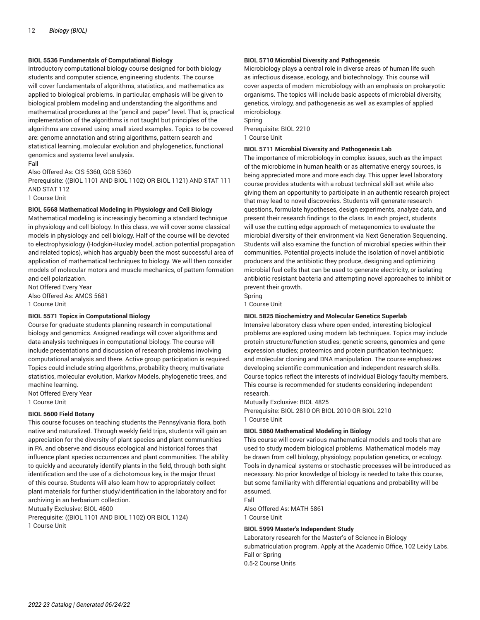# **BIOL 5536 Fundamentals of Computational Biology**

Introductory computational biology course designed for both biology students and computer science, engineering students. The course will cover fundamentals of algorithms, statistics, and mathematics as applied to biological problems. In particular, emphasis will be given to biological problem modeling and understanding the algorithms and mathematical procedures at the "pencil and paper" level. That is, practical implementation of the algorithms is not taught but principles of the algorithms are covered using small sized examples. Topics to be covered are: genome annotation and string algorithms, pattern search and statistical learning, molecular evolution and phylogenetics, functional genomics and systems level analysis. Fall

Also Offered As: CIS 5360, GCB 5360

Prerequisite: ((BIOL 1101 AND BIOL 1102) OR BIOL 1121) AND STAT 111 AND STAT 112

1 Course Unit

#### **BIOL 5568 Mathematical Modeling in Physiology and Cell Biology**

Mathematical modeling is increasingly becoming a standard technique in physiology and cell biology. In this class, we will cover some classical models in physiology and cell biology. Half of the course will be devoted to electrophysiology (Hodgkin-Huxley model, action potential propagation and related topics), which has arguably been the most successful area of application of mathematical techniques to biology. We will then consider models of molecular motors and muscle mechanics, of pattern formation and cell polarization.

Not Offered Every Year Also Offered As: AMCS 5681 1 Course Unit

#### **BIOL 5571 Topics in Computational Biology**

Course for graduate students planning research in computational biology and genomics. Assigned readings will cover algorithms and data analysis techniques in computational biology. The course will include presentations and discussion of research problems involving computational analysis and there. Active group participation is required. Topics could include string algorithms, probability theory, multivariate statistics, molecular evolution, Markov Models, phylogenetic trees, and machine learning.

Not Offered Every Year 1 Course Unit

#### **BIOL 5600 Field Botany**

This course focuses on teaching students the Pennsylvania flora, both native and naturalized. Through weekly field trips, students will gain an appreciation for the diversity of plant species and plant communities in PA, and observe and discuss ecological and historical forces that influence plant species occurrences and plant communities. The ability to quickly and accurately identify plants in the field, through both sight identification and the use of a dichotomous key, is the major thrust of this course. Students will also learn how to appropriately collect plant materials for further study/identification in the laboratory and for archiving in an herbarium collection.

Mutually Exclusive: BIOL 4600

Prerequisite: ((BIOL 1101 AND BIOL 1102) OR BIOL 1124) 1 Course Unit

#### **BIOL 5710 Microbial Diversity and Pathogenesis**

Microbiology plays a central role in diverse areas of human life such as infectious disease, ecology, and biotechnology. This course will cover aspects of modern microbiology with an emphasis on prokaryotic organisms. The topics will include basic aspects of microbial diversity, genetics, virology, and pathogenesis as well as examples of applied microbiology.

Spring Prerequisite: BIOL 2210 1 Course Unit

# **BIOL 5711 Microbial Diversity and Pathogenesis Lab**

The importance of microbiology in complex issues, such as the impact of the microbiome in human health or as alternative energy sources, is being appreciated more and more each day. This upper level laboratory course provides students with a robust technical skill set while also giving them an opportunity to participate in an authentic research project that may lead to novel discoveries. Students will generate research questions, formulate hypotheses, design experiments, analyze data, and present their research findings to the class. In each project, students will use the cutting edge approach of metagenomics to evaluate the microbial diversity of their environment via Next Generation Sequencing. Students will also examine the function of microbial species within their communities. Potential projects include the isolation of novel antibiotic producers and the antibiotic they produce, designing and optimizing microbial fuel cells that can be used to generate electricity, or isolating antibiotic resistant bacteria and attempting novel approaches to inhibit or prevent their growth.

Spring 1 Course Unit

#### **BIOL 5825 Biochemistry and Molecular Genetics Superlab**

Intensive laboratory class where open-ended, interesting biological problems are explored using modern lab techniques. Topics may include protein structure/function studies; genetic screens, genomics and gene expression studies; proteomics and protein purification techniques; and molecular cloning and DNA manipulation. The course emphasizes developing scientific communication and independent research skills. Course topics reflect the interests of individual Biology faculty members. This course is recommended for students considering independent research.

Mutually Exclusive: BIOL 4825

Prerequisite: BIOL 2810 OR BIOL 2010 OR BIOL 2210 1 Course Unit

# **BIOL 5860 Mathematical Modeling in Biology**

This course will cover various mathematical models and tools that are used to study modern biological problems. Mathematical models may be drawn from cell biology, physiology, population genetics, or ecology. Tools in dynamical systems or stochastic processes will be introduced as necessary. No prior knowledge of biology is needed to take this course, but some familiarity with differential equations and probability will be assumed.

Fall Also Offered As: MATH 5861 1 Course Unit

# **BIOL 5999 Master's Independent Study**

Laboratory research for the Master's of Science in Biology submatriculation program. Apply at the Academic Office, 102 Leidy Labs. Fall or Spring 0.5-2 Course Units